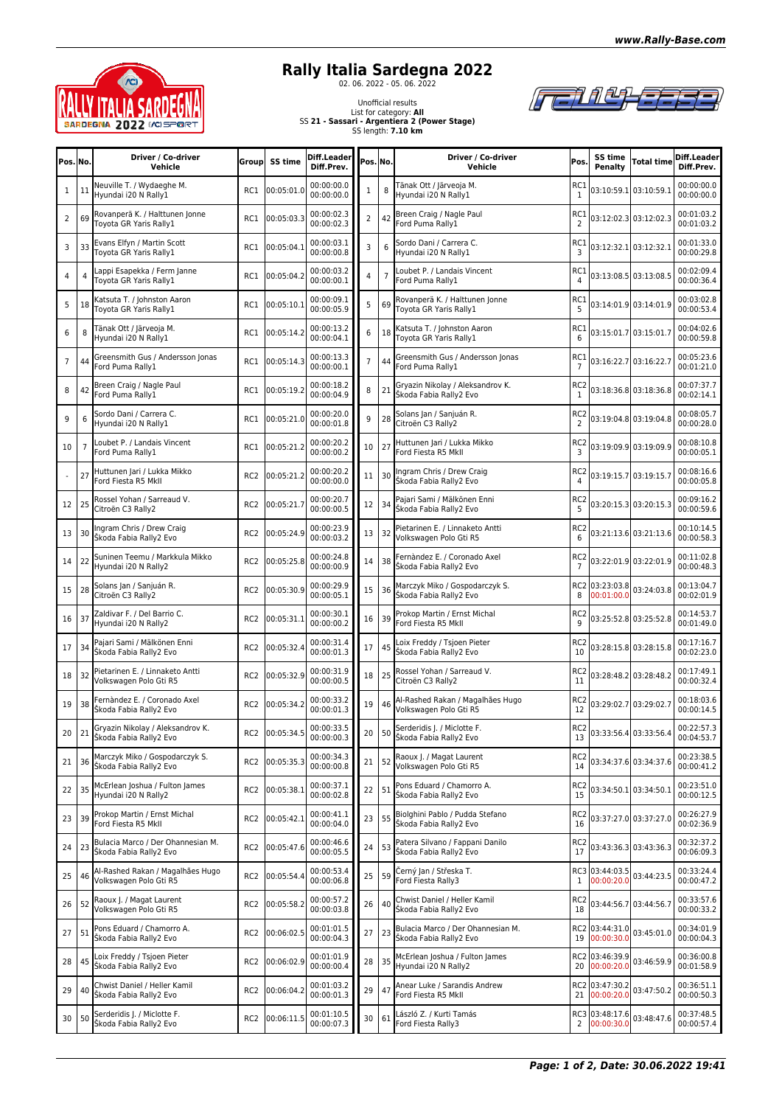



## **Rally Italia Sardegna 2022**<br><sup>02. 06. 2022</sup> - 05. 06. 2022



Unofficial results List for category: **All** SS **21 - Sassari - Argentiera 2 (Power Stage)** SS length: **7.10 km**

| Pos. No. |    | Driver / Co-driver<br>Vehicle                                    | Groupl          | SS time        | Diff.Leader<br>Diff.Prev. | Pos. No.       |    | Driver / Co-driver<br>Vehicle                               | Pos.                              | SS time<br>Penalty           | Total time                | Diff.Leader<br>Diff.Prev. |
|----------|----|------------------------------------------------------------------|-----------------|----------------|---------------------------|----------------|----|-------------------------------------------------------------|-----------------------------------|------------------------------|---------------------------|---------------------------|
| 1        | 11 | Neuville T. / Wydaeghe M.<br>Hyundai i20 N Rally1                | RC1             | 00:05:01.0     | 00:00:00.0<br>00:00:00.0  | 1              | 8  | Tänak Ott / Järveoja M.<br>Hyundai i20 N Rally1             | RC1<br>$\mathbf{1}$               |                              | 03:10:59.1 03:10:59.1     | 00:00:00.0<br>00:00:00.0  |
| 2        | 69 | Rovanperä K. / Halttunen Jonne<br>Toyota GR Yaris Rally1         | RC1             | 00:05:03.3     | 00:00:02.3<br>00:00:02.3  | $\overline{2}$ | 42 | Breen Craig / Nagle Paul<br>ord Puma Rally1                 | RC1<br>$\overline{2}$             |                              | 03:12:02.3 03:12:02.3     | 00:01:03.2<br>00:01:03.2  |
| 3        | 33 | Evans Elfyn / Martin Scott<br>Toyota GR Yaris Rally1             | RC1             | 00:05:04.1     | 00:00:03.1<br>00:00:00.8  | 3              | 6  | Sordo Dani / Carrera C.<br>Hyundai i20 N Rally1             | RC1<br>3                          |                              | 03:12:32.1 03:12:32.1     | 00:01:33.0<br>00:00:29.8  |
| 4        | 4  | appi Esapekka / Ferm Janne<br>Foyota GR Yaris Rally1             | RC1             | 00:05:04.2     | 00:00:03.2<br>00:00:00.1  | 4              |    | Loubet P. / Landais Vincent<br>Ford Puma Rally1             | RC1                               |                              | 03:13:08.5 03:13:08.5     | 00:02:09.4<br>00:00:36.4  |
| 5        | 18 | Katsuta T. / Johnston Aaron<br>Toyota GR Yaris Rally1            | RC1             | 00:05:10.1     | 00:00:09.1<br>00:00:05.9  | 5              | 69 | Rovanperä K. / Halttunen Jonne<br>Toyota GR Yaris Rally1    | RC1<br>5                          |                              | 03:14:01.9 03:14:01.9     | 00:03:02.8<br>00:00:53.4  |
| 6        | 8  | Fänak Ott / Järveoja M.<br>Hyundai i20 N Rally1                  | RC1             | 00:05:14.2     | 00:00:13.2<br>00:00:04.1  | 6              | 18 | Katsuta T. / Johnston Aaron<br>Toyota GR Yaris Rally1       | RC1<br>6                          |                              | 03:15:01.7 03:15:01.7     | 00:04:02.6<br>00:00:59.8  |
| 7        | 44 | Greensmith Gus / Andersson Jonas<br>Ford Puma Rally1             | RC1             | 00:05:14.3     | 00:00:13.3<br>00:00:00.1  | 7              | 44 | Greensmith Gus / Andersson Jonas<br>Ford Puma Rally1        | RC1<br>$\overline{7}$             |                              | 03:16:22.7 03:16:22.7     | 00:05:23.6<br>00:01:21.0  |
| 8        | 42 | Breen Craig / Nagle Paul<br>Ford Puma Rally1                     | RC1             | 00:05:19.2     | 00:00:18.2<br>00:00:04.9  | 8              | 21 | Gryazin Nikolay / Aleksandrov K.<br>Škoda Fabia Rally2 Evo  | RC2<br>1                          |                              | 03:18:36.8 03:18:36.8     | 00:07:37.7<br>00:02:14.1  |
| 9        | 6  | Sordo Dani / Carrera C.<br>Hyundai i20 N Rally1                  | RC1             | 00:05:21.0     | 00:00:20.0<br>00:00:01.8  | 9              | 28 | Solans Jan / Sanjuán R.<br>Citroën C3 Rally2                | RC <sub>2</sub><br>$\overline{2}$ |                              | 03:19:04.8 03:19:04.8     | 00:08:05.7<br>00:00:28.0  |
| 10       | 7  | Loubet P. / Landais Vincent<br>Ford Puma Rally1                  | RC1             | 00:05:21.2     | 00:00:20.2<br>00:00:00.2  | 10             | 27 | Huttunen Jari / Lukka Mikko<br>Ford Fiesta R5 MkII          | RC <sub>2</sub><br>3              |                              | 03:19:09.9 03:19:09.9     | 00:08:10.8<br>00:00:05.1  |
|          | 27 | Huttunen Jari / Lukka Mikko<br>Ford Fiesta R5 MkII               | RC <sub>2</sub> | 00:05:21.2     | 00:00:20.2<br>00:00:00.0  | 11             | 30 | Ingram Chris / Drew Craig<br>Škoda Fabia Rally2 Evo         | RC <sub>2</sub>                   |                              | 03:19:15.7 03:19:15.7     | 00:08:16.6<br>00:00:05.8  |
| 12       | 25 | Rossel Yohan / Sarreaud V.<br>Citroën C3 Rally2                  | RC <sub>2</sub> | 00:05:21.7     | 00:00:20.7<br>00:00:00.5  | 12             | 34 | Pajari Sami / Mälkönen Enni<br>Škoda Fabia Rally2 Evo       | RC <sub>2</sub><br>5              |                              | 03:20:15.3 03:20:15.3     | 00:09:16.2<br>00:00:59.6  |
| 13       | 30 | Ingram Chris / Drew Craig<br>Škoda Fabia Rally2 Evo              | RC <sub>2</sub> | 00:05:24.9     | 00:00:23.9<br>00:00:03.2  | 13             | 32 | Pietarinen E. / Linnaketo Antti<br>Volkswagen Polo Gti R5   | RC <sub>2</sub><br>6              |                              | 03:21:13.6 03:21:13.6     | 00:10:14.5<br>00:00:58.3  |
| 14       | 22 | Suninen Teemu / Markkula Mikko<br>Hyundai i20 N Rally2           | RC2             | 00:05:25.8     | 00:00:24.8<br>00:00:00.9  | 14             | 38 | Fernàndez E. / Coronado Axel<br>Škoda Fabia Rally2 Evo      | RC <sub>2</sub>                   |                              | 03:22:01.9 03:22:01.9     | 00:11:02.8<br>00:00:48.3  |
| 15       | 28 | Solans Jan / Sanjuán R.<br>Citroën C3 Rally2                     | RC <sub>2</sub> | 00:05:30.9     | 00:00:29.9<br>00:00:05.1  | 15             | 36 | Marczyk Miko / Gospodarczyk S.<br>Škoda Fabia Rally2 Evo    | 8                                 | RC2 03:23:03.8<br>00:01:00.0 | 03:24:03.8                | 00:13:04.7<br>00:02:01.9  |
| 16       | 37 | Zaldivar F. / Del Barrio C.<br>Hyundai i20 N Rally2              | RC <sub>2</sub> | 00:05:31.1     | 00:00:30.1<br>00:00:00.2  | 16             | 39 | Prokop Martin / Ernst Michal<br>Ford Fiesta R5 Mkll         | RC <sub>2</sub>                   |                              | 03:25:52.8 03:25:52.8     | 00:14:53.7<br>00:01:49.0  |
| 17       | 34 | Pajari Sami / Mälkönen Enni<br>Škoda Fabia Rally2 Evo            | RC <sub>2</sub> | 00:05:32.4     | 00:00:31.4<br>00:00:01.3  | 17             | 45 | oix Freddy / Tsjoen Pieter<br>Škoda Fabia Rally2 Evo        | RC <sub>2</sub><br>10             |                              | 03:28:15.8 03:28:15.8     | 00:17:16.7<br>00:02:23.0  |
| 18       | 32 | Pietarinen E. / Linnaketo Antti<br>Volkswagen Polo Gti R5        | RC <sub>2</sub> | 00:05:32.9     | 00:00:31.9<br>00:00:00.5  | 18             | 25 | Rossel Yohan / Sarreaud V.<br>Citroën C3 Rally2             | RC <sub>2</sub><br>11             |                              | 03:28:48.2 03:28:48.2     | 00:17:49.1<br>00:00:32.4  |
| 19       | 38 | Fernàndez E. / Coronado Axel<br>Škoda Fabia Rally2 Evo           | RC <sub>2</sub> | 00:05:34.2     | 00:00:33.2<br>00:00:01.3  | 19             | 46 | Al-Rashed Rakan / Magalhães Hugo<br>Volkswagen Polo Gti R5  | RC2<br>12                         |                              | 03:29:02.7 03:29:02.7     | 00:18:03.6<br>00:00:14.5  |
|          |    | 20 21 Gryazin Nikolay / Aleksandrov K.<br>Škoda Fabia Rally2 Evo |                 | RC2 00:05:34.5 | 00:00:33.5<br>00:00:00.3  | 20             | 50 | Serderidis J. / Miclotte F.<br>Škoda Fabia Rally2 Evo       | 13                                |                              | RC2 03:33:56.4 03:33:56.4 | 00:22:57.3<br>00:04:53.7  |
| 21       | 36 | Marczyk Miko / Gospodarczyk S.<br>Škoda Fabia Rally2 Evo         | RC <sub>2</sub> | 00:05:35.3     | 00:00:34.3<br>00:00:00.8  | 21             | 52 | Raoux J. / Magat Laurent<br>Volkswagen Polo Gti R5          | RC2<br>14                         |                              | 03:34:37.6 03:34:37.6     | 00:23:38.5<br>00:00:41.2  |
| 22       | 35 | McErlean Joshua / Fulton James<br>Hyundai i20 N Rally2           | RC <sub>2</sub> | 00:05:38.1     | 00:00:37.1<br>00:00:02.8  | 22             | 51 | Pons Eduard / Chamorro A.<br>Škoda Fabia Rally2 Evo         | RC2<br>15                         |                              | 03:34:50.1 03:34:50.1     | 00:23:51.0<br>00:00:12.5  |
| 23       | 39 | Prokop Martin / Ernst Michal<br>Ford Fiesta R5 MkII              | RC <sub>2</sub> | 00:05:42.1     | 00:00:41.1<br>00:00:04.0  | 23             | 55 | Biolghini Pablo / Pudda Stefano<br>Škoda Fabia Rally2 Evo   | RC <sub>2</sub><br>16             |                              | 03:37:27.0 03:37:27.0     | 00:26:27.9<br>00:02:36.9  |
| 24       | 23 | Bulacia Marco / Der Ohannesian M.<br>Škoda Fabia Rally2 Evo      | RC <sub>2</sub> | 00:05:47.6     | 00:00:46.6<br>00:00:05.5  | 24             | 53 | Patera Silvano / Fappani Danilo<br>Škoda Fabia Rally2 Evo   | RC2<br>17                         |                              | 03:43:36.3 03:43:36.3     | 00:32:37.2<br>00:06:09.3  |
| 25       | 46 | Al-Rashed Rakan / Magalhães Hugo<br>Volkswagen Polo Gti R5       | RC <sub>2</sub> | 00:05:54.4     | 00:00:53.4<br>00:00:06.8  | 25             | 59 | Černý Jan / Střeska T.<br>Ford Fiesta Rally3                | 1                                 | RC3 03:44:03.5<br>00:00:20.0 | 03:44:23.5                | 00:33:24.4<br>00:00:47.2  |
| 26       | 52 | Raoux J. / Magat Laurent<br>Volkswagen Polo Gti R5               | RC <sub>2</sub> | 00:05:58.2     | 00:00:57.2<br>00:00:03.8  | 26             | 40 | Chwist Daniel / Heller Kamil<br>Škoda Fabia Rally2 Evo      | RC2<br>18                         |                              | 03:44:56.7 03:44:56.7     | 00:33:57.6<br>00:00:33.2  |
| 27       | 51 | Pons Eduard / Chamorro A.<br>Škoda Fabia Rally2 Evo              | RC <sub>2</sub> | 00:06:02.5     | 00:01:01.5<br>00:00:04.3  | 27             | 23 | Bulacia Marco / Der Ohannesian M.<br>Škoda Fabia Rally2 Evo | 19                                | RC2 03:44:31.0<br>00:00:30.0 | 03:45:01.0                | 00:34:01.9<br>00:00:04.3  |
| 28       | 45 | Loix Freddy / Tsjoen Pieter<br>Škoda Fabia Rally2 Evo            | RC <sub>2</sub> | 00:06:02.9     | 00:01:01.9<br>00:00:00.4  | 28             | 35 | McErlean Joshua / Fulton James<br>Hyundai i20 N Rally2      | 20                                | RC2 03:46:39.9<br>00:00:20.0 | 03:46:59.9                | 00:36:00.8<br>00:01:58.9  |
| 29       | 40 | Chwist Daniel / Heller Kamil<br>Skoda Fabia Rally2 Evo           | RC <sub>2</sub> | 00:06:04.2     | 00:01:03.2<br>00:00:01.3  | 29             | 47 | Anear Luke / Sarandis Andrew<br>ord Fiesta R5 Mkll          | 21                                | RC2 03:47:30.2<br>00:00:20.0 | 03:47:50.2                | 00:36:51.1<br>00:00:50.3  |
| 30       | 50 | Serderidis J. / Miclotte F.<br>Škoda Fabia Rally2 Evo            | RC <sub>2</sub> | 00:06:11.5     | 00:01:10.5<br>00:00:07.3  | 30             | 61 | ászló Z. / Kurti Tamás<br>Ford Fiesta Rally3                | 2                                 | RC3 03:48:17.6<br>00:00:30.0 | 03:48:47.6                | 00:37:48.5<br>00:00:57.4  |